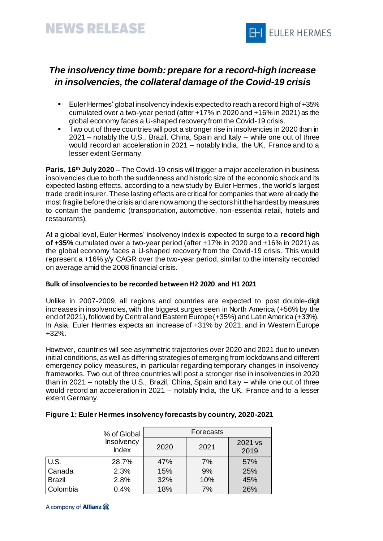

# *The insolvency time bomb: prepare for a record-high increase in insolvencies, the collateral damage of the Covid-19 crisis*

- Euler Hermes' global insolvency index is expected to reach a record high of +35% cumulated over a two-year period (after +17% in 2020 and +16% in 2021) as the global economy faces a U-shaped recovery from the Covid-19 crisis.
- Two out of three countries will post a stronger rise in insolvencies in 2020 than in 2021 – notably the U.S., Brazil, China, Spain and Italy – while one out of three would record an acceleration in 2021 – notably India, the UK, France and to a lesser extent Germany.

**Paris, 16th July 2020** – The Covid-19 crisis will trigger a major acceleration in business insolvencies due to both the suddenness and historic size of the economic shock and its expected lasting effects, according to a new study by Euler Hermes, the world's largest trade credit insurer. These lasting effects are critical for companies that were already the most fragile before the crisis and are now among the sectors hit the hardest by measures to contain the pandemic (transportation, automotive, non-essential retail, hotels and restaurants).

At a global level, Euler Hermes' insolvency index is expected to surge to a **record high of +35%** cumulated over a two-year period (after +17% in 2020 and +16% in 2021) as the global economy faces a U-shaped recovery from the Covid-19 crisis. This would represent a +16% y/y CAGR over the two-year period, similar to the intensity recorded on average amid the 2008 financial crisis.

## **Bulk of insolvencies to be recorded between H2 2020 and H1 2021**

Unlike in 2007-2009, all regions and countries are expected to post double-digit increases in insolvencies, with the biggest surges seen in North America (+56% by the end of 2021), followed by Central and Eastern Europe (+35%) and Latin America (+33%). In Asia, Euler Hermes expects an increase of +31% by 2021, and in Western Europe +32%.

However, countries will see asymmetric trajectories over 2020 and 2021 due to uneven initial conditions, as well as differing strategies of emerging from lockdowns and different emergency policy measures, in particular regarding temporary changes in insolvency frameworks. Two out of three countries will post a stronger rise in insolvencies in 2020 than in 2021 – notably the U.S., Brazil, China, Spain and Italy – while one out of three would record an acceleration in 2021 – notably India, the UK, France and to a lesser extent Germany.

|               | % of Global                       | Forecasts |      |                 |
|---------------|-----------------------------------|-----------|------|-----------------|
|               | <b>Insolvency</b><br><b>Index</b> | 2020      | 2021 | 2021 vs<br>2019 |
| U.S.          | 28.7%                             | 47%       | 7%   | 57%             |
| Canada        | 2.3%                              | 15%       | 9%   | 25%             |
| <b>Brazil</b> | 2.8%                              | 32%       | 10%  | 45%             |
| Colombia      | 0.4%                              | 18%       | 7%   | 26%             |

### **Figure 1: Euler Hermes insolvency forecasts by country, 2020-2021**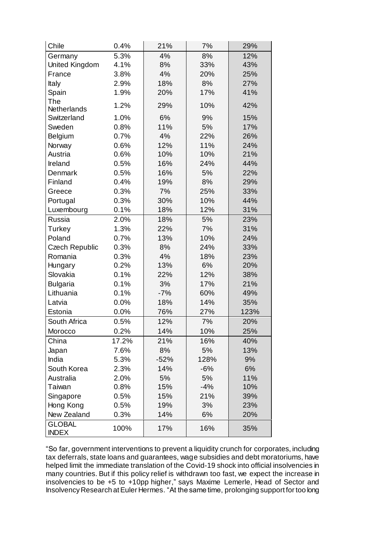| Chile                         | 0.4%  | 21%    | 7%    | 29%  |
|-------------------------------|-------|--------|-------|------|
| Germany                       | 5.3%  | 4%     | 8%    | 12%  |
| United Kingdom                | 4.1%  | 8%     | 33%   | 43%  |
| France                        | 3.8%  | 4%     | 20%   | 25%  |
| Italy                         | 2.9%  | 18%    | 8%    | 27%  |
| Spain                         | 1.9%  | 20%    | 17%   | 41%  |
| The                           | 1.2%  | 29%    | 10%   | 42%  |
| <b>Netherlands</b>            |       |        |       |      |
| Switzerland                   | 1.0%  | 6%     | 9%    | 15%  |
| Sweden                        | 0.8%  | 11%    | 5%    | 17%  |
| Belgium                       | 0.7%  | 4%     | 22%   | 26%  |
| Norway                        | 0.6%  | 12%    | 11%   | 24%  |
| Austria                       | 0.6%  | 10%    | 10%   | 21%  |
| Ireland                       | 0.5%  | 16%    | 24%   | 44%  |
| Denmark                       | 0.5%  | 16%    | 5%    | 22%  |
| Finland                       | 0.4%  | 19%    | 8%    | 29%  |
| Greece                        | 0.3%  | 7%     | 25%   | 33%  |
| Portugal                      | 0.3%  | 30%    | 10%   | 44%  |
| Luxembourg                    | 0.1%  | 18%    | 12%   | 31%  |
| Russia                        | 2.0%  | 18%    | 5%    | 23%  |
| Turkey                        | 1.3%  | 22%    | 7%    | 31%  |
| Poland                        | 0.7%  | 13%    | 10%   | 24%  |
| <b>Czech Republic</b>         | 0.3%  | 8%     | 24%   | 33%  |
| Romania                       | 0.3%  | 4%     | 18%   | 23%  |
| Hungary                       | 0.2%  | 13%    | 6%    | 20%  |
| Slovakia                      | 0.1%  | 22%    | 12%   | 38%  |
| <b>Bulgaria</b>               | 0.1%  | 3%     | 17%   | 21%  |
| Lithuania                     | 0.1%  | $-7%$  | 60%   | 49%  |
| Latvia                        | 0.0%  | 18%    | 14%   | 35%  |
| Estonia                       | 0.0%  | 76%    | 27%   | 123% |
| South Africa                  | 0.5%  | 12%    | 7%    | 20%  |
| Morocco                       | 0.2%  | 14%    | 10%   | 25%  |
| China                         | 17.2% | 21%    | 16%   | 40%  |
| Japan                         | 7.6%  | 8%     | 5%    | 13%  |
| India                         | 5.3%  | $-52%$ | 128%  | 9%   |
| South Korea                   | 2.3%  | 14%    | $-6%$ | 6%   |
| Australia                     | 2.0%  | 5%     | 5%    | 11%  |
| Taiwan                        | 0.8%  | 15%    | $-4%$ | 10%  |
| Singapore                     | 0.5%  | 15%    | 21%   | 39%  |
| Hong Kong                     | 0.5%  | 19%    | 3%    | 23%  |
| New Zealand                   | 0.3%  | 14%    | 6%    | 20%  |
| <b>GLOBAL</b><br><b>INDEX</b> | 100%  | 17%    | 16%   | 35%  |

"So far, government interventions to prevent a liquidity crunch for corporates, including tax deferrals, state loans and guarantees, wage subsidies and debt moratoriums, have helped limit the immediate translation of the Covid-19 shock into official insolvencies in many countries. But if this policy relief is withdrawn too fast, we expect the increase in insolvencies to be +5 to +10pp higher," says Maxime Lemerle, Head of Sector and Insolvency Research at Euler Hermes. "At the same time, prolonging support for too long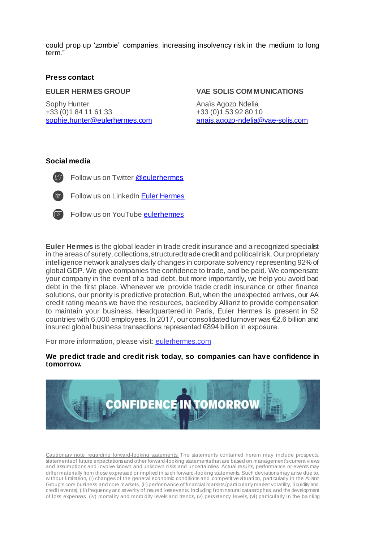could prop up 'zombie' companies, increasing insolvency risk in the medium to long term."

#### **Press contact**

#### **EULER HERMES GROUP**

Sophy Hunter +33 (0)1 84 11 61 33 sophie.hunter@eulerhermes.com

#### **VAE SOLIS COMMUNICATIONS**

Anaïs Agozo Ndelia +33 (0)1 53 92 80 10 [anais.agozo-ndelia@vae-solis.com](mailto:anais.agozo-ndelia@vae-solis.com)

## **Social media**

Follow us on Twitter [@eulerhermes](https://twitter.com/eulerhermes)



Follow us on LinkedIn [Euler Hermes](https://www.linkedin.com/company/euler-hermes/)



Follow us on YouTub[e eulerhermes](https://www.youtube.com/channel/UCwbtDMlhEdlLSp4SHffk6Lw)

**Euler Hermes** is the global leader in trade credit insurance and a recognized specialist in the areas of surety, collections, structured trade credit and political risk. Our proprietary intelligence network analyses daily changes in corporate solvency representing 92% of global GDP. We give companies the confidence to trade, and be paid. We compensate your company in the event of a bad debt, but more importantly, we help you avoid bad debt in the first place. Whenever we provide trade credit insurance or other finance solutions, our priority is predictive protection. But, when the unexpected arrives, our AA credit rating means we have the resources, backed by Allianz to provide compensation to maintain your business. Headquartered in Paris, Euler Hermes is present in 52 countries with 6,000 employees. In 2017, our consolidated turnover was €2.6 billion and insured global business transactions represented €894 billion in exposure.

For more information, please visit[: eulerhermes.com](http://www.eulerhermes.com/)

**We predict trade and credit risk today, so companies can have confidence in tomorrow.** 



Cautionary note regarding forward-looking statements: The statements contained herein may include prospects, statements of future expectations and other forward-looking statements that are based on management's current views and assumptions and involve known and unknown ri sks and uncertainties. Actual results, performance or events may differ materially from those expressed or implied in such forward-looking statements. Such deviations may arise due to, without limitation, (i) changes of the general economic conditions and competitive situation, particularly in the Allianz Group's core business and core markets, (ii) performance of financial markets (particularly market volatility, liquidity and credit events), (iii) frequency and severity of insured loss events, including from natural catastrophes, and the development of loss expenses, (iv) mortality and morbidity levels and trends, (v) persistency levels, (vi) particularly in the ba nking